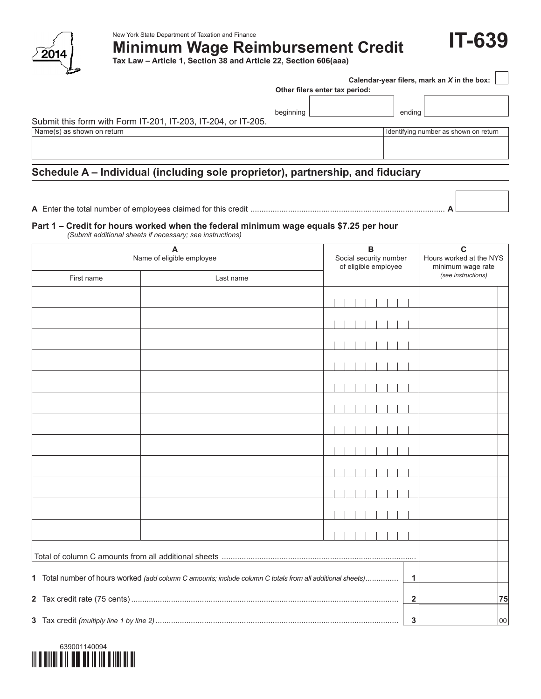

New York State Department of Taxation and Finance

**Minimum Wage Reimbursement Credit**

**Tax Law – Article 1, Section 38 and Article 22, Section 606(aaa)**

|                                                               | Calendar-year filers, mark an X in the box: |                                       |  |  |  |  |  |
|---------------------------------------------------------------|---------------------------------------------|---------------------------------------|--|--|--|--|--|
|                                                               | Other filers enter tax period:              |                                       |  |  |  |  |  |
|                                                               | beginning                                   | ending                                |  |  |  |  |  |
| Submit this form with Form IT-201, IT-203, IT-204, or IT-205. |                                             |                                       |  |  |  |  |  |
| Name(s) as shown on return                                    |                                             | Identifying number as shown on return |  |  |  |  |  |
|                                                               |                                             |                                       |  |  |  |  |  |

**IT-639**

# **Schedule A – Individual (including sole proprietor), partnership, and fiduciary**

**A** Enter the total number of employees claimed for this credit ........................................................................................ **A**

#### **Part 1 – Credit for hours worked when the federal minimum wage equals \$7.25 per hour**

*(Submit additional sheets if necessary; see instructions)*

| A<br>Name of eligible employee<br>First name<br>Last name                                                      |  |  |  |  |  | B  | Social security number<br>of eligible employee |  | C<br>Hours worked at the NYS<br>minimum wage rate<br>(see instructions) |  |
|----------------------------------------------------------------------------------------------------------------|--|--|--|--|--|----|------------------------------------------------|--|-------------------------------------------------------------------------|--|
|                                                                                                                |  |  |  |  |  |    |                                                |  |                                                                         |  |
|                                                                                                                |  |  |  |  |  |    |                                                |  |                                                                         |  |
|                                                                                                                |  |  |  |  |  |    |                                                |  |                                                                         |  |
|                                                                                                                |  |  |  |  |  |    |                                                |  |                                                                         |  |
|                                                                                                                |  |  |  |  |  |    |                                                |  |                                                                         |  |
|                                                                                                                |  |  |  |  |  |    |                                                |  |                                                                         |  |
|                                                                                                                |  |  |  |  |  |    |                                                |  |                                                                         |  |
|                                                                                                                |  |  |  |  |  |    |                                                |  |                                                                         |  |
|                                                                                                                |  |  |  |  |  |    |                                                |  |                                                                         |  |
|                                                                                                                |  |  |  |  |  |    |                                                |  |                                                                         |  |
|                                                                                                                |  |  |  |  |  |    |                                                |  |                                                                         |  |
|                                                                                                                |  |  |  |  |  |    |                                                |  |                                                                         |  |
|                                                                                                                |  |  |  |  |  |    |                                                |  |                                                                         |  |
|                                                                                                                |  |  |  |  |  |    |                                                |  |                                                                         |  |
|                                                                                                                |  |  |  |  |  |    |                                                |  |                                                                         |  |
|                                                                                                                |  |  |  |  |  |    |                                                |  |                                                                         |  |
|                                                                                                                |  |  |  |  |  |    |                                                |  |                                                                         |  |
|                                                                                                                |  |  |  |  |  |    |                                                |  |                                                                         |  |
| 1 Total number of hours worked (add column C amounts; include column C totals from all additional sheets)<br>1 |  |  |  |  |  |    |                                                |  |                                                                         |  |
| $\overline{\mathbf{2}}$                                                                                        |  |  |  |  |  | 75 |                                                |  |                                                                         |  |
|                                                                                                                |  |  |  |  |  |    |                                                |  |                                                                         |  |
|                                                                                                                |  |  |  |  |  | 3  | 00                                             |  |                                                                         |  |

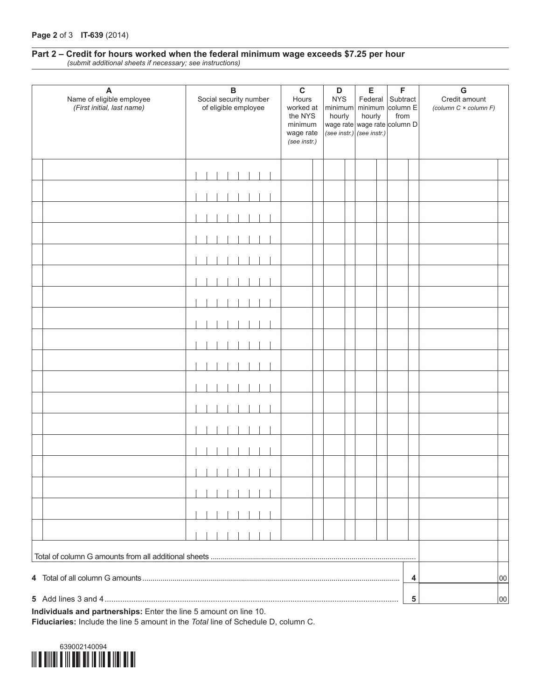#### **Part 2 – Credit for hours worked when the federal minimum wage exceeds \$7.25 per hour** *(submit additional sheets if necessary; see instructions)*

| A<br>Name of eligible employee<br>(First initial, last name) | $\, {\bf B}$<br>Social security number<br>of eligible employee | $\mathbf C$<br>Hours<br>worked at<br>the NYS<br>minimum<br>wage rate<br>(see instr.) | $\mathsf D$<br><b>NYS</b><br>hourly | E<br>minimum minimum column E<br>hourly<br>wage rate wage rate column D<br>$\vert$ (see instr.) $\vert$ (see instr.) | F<br>Federal Subtract<br>from | G<br>Credit amount<br>(column C × column F) |
|--------------------------------------------------------------|----------------------------------------------------------------|--------------------------------------------------------------------------------------|-------------------------------------|----------------------------------------------------------------------------------------------------------------------|-------------------------------|---------------------------------------------|
|                                                              |                                                                |                                                                                      |                                     |                                                                                                                      |                               |                                             |
|                                                              |                                                                |                                                                                      |                                     |                                                                                                                      |                               |                                             |
|                                                              |                                                                |                                                                                      |                                     |                                                                                                                      |                               |                                             |
|                                                              |                                                                |                                                                                      |                                     |                                                                                                                      |                               |                                             |
|                                                              |                                                                |                                                                                      |                                     |                                                                                                                      |                               |                                             |
|                                                              |                                                                |                                                                                      |                                     |                                                                                                                      |                               |                                             |
|                                                              |                                                                |                                                                                      |                                     |                                                                                                                      |                               |                                             |
|                                                              |                                                                |                                                                                      |                                     |                                                                                                                      |                               |                                             |
|                                                              |                                                                |                                                                                      |                                     |                                                                                                                      |                               |                                             |
|                                                              |                                                                |                                                                                      |                                     |                                                                                                                      |                               |                                             |
|                                                              |                                                                |                                                                                      |                                     |                                                                                                                      |                               |                                             |
|                                                              |                                                                |                                                                                      |                                     |                                                                                                                      |                               |                                             |
|                                                              |                                                                |                                                                                      |                                     |                                                                                                                      |                               |                                             |
|                                                              |                                                                |                                                                                      |                                     |                                                                                                                      |                               |                                             |
|                                                              |                                                                |                                                                                      |                                     |                                                                                                                      |                               |                                             |
|                                                              |                                                                |                                                                                      |                                     |                                                                                                                      |                               |                                             |
|                                                              |                                                                |                                                                                      |                                     |                                                                                                                      |                               |                                             |
|                                                              |                                                                |                                                                                      |                                     |                                                                                                                      |                               |                                             |
|                                                              |                                                                |                                                                                      |                                     |                                                                                                                      |                               |                                             |
|                                                              |                                                                |                                                                                      |                                     |                                                                                                                      | 4                             | 00                                          |
|                                                              |                                                                |                                                                                      |                                     |                                                                                                                      | 5                             | 00                                          |

**Individuals and partnerships:** Enter the line 5 amount on line 10. **Fiduciaries:** Include the line 5 amount in the *Total* line of Schedule D, column C.